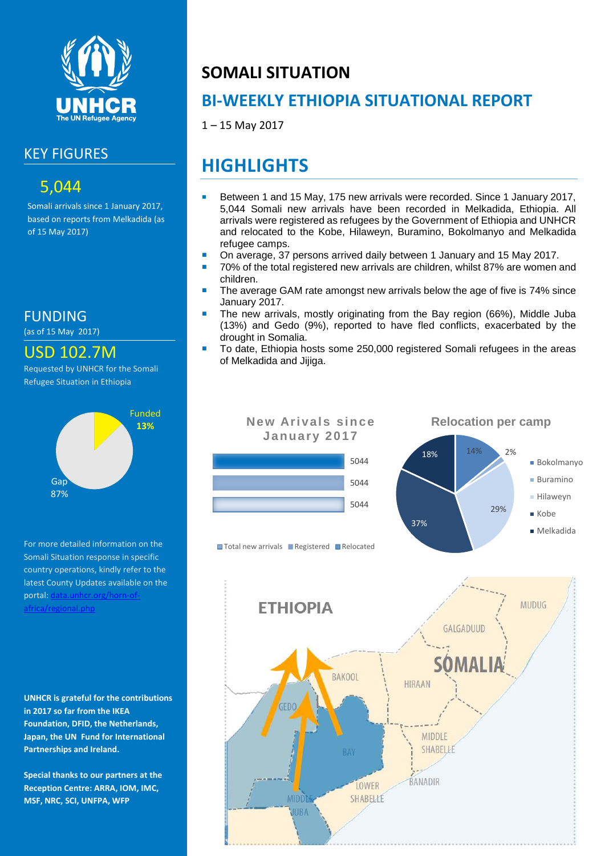

### KEY FIGURES

### 5,044

Somali arrivals since 1 January 2017, based on reports from Melkadida (as of 15 May 2017)

FUNDING

(as of 15 May 2017)

### USD 102.7M

Requested by UNHCR for the Somali Refugee Situation in Ethiopia



For more detailed information on the Somali Situation response in specific country operations, kindly refer to the latest County Updates available on the portal: data.unhcr.org/horn-of [africa/regional.php](http://data.unhcr.org/SouthSudan/regional.php)

**UNHCR is grateful for the contributions in 2017 so far from the IKEA Foundation, DFID, the Netherlands, Japan, the UN Fund for International Partnerships and Ireland.**

**Special thanks to our partners at the Reception Centre: ARRA, IOM, IMC, MSF, NRC, SCI, UNFPA, WFP**

# **SOMALI SITUATION**

## **BI-WEEKLY ETHIOPIA SITUATIONAL REPORT**

1 – 15 May 2017

# **HIGHLIGHTS**

- Between 1 and 15 May, 175 new arrivals were recorded. Since 1 January 2017, 5,044 Somali new arrivals have been recorded in Melkadida, Ethiopia. All arrivals were registered as refugees by the Government of Ethiopia and UNHCR and relocated to the Kobe, Hilaweyn, Buramino, Bokolmanyo and Melkadida refugee camps.
- On average, 37 persons arrived daily between 1 January and 15 May 2017.
- 70% of the total registered new arrivals are children, whilst 87% are women and children.
- The average GAM rate amongst new arrivals below the age of five is 74% since January 2017.
- The new arrivals, mostly originating from the Bay region (66%), Middle Juba (13%) and Gedo (9%), reported to have fled conflicts, exacerbated by the drought in Somalia.
- To date, Ethiopia hosts some 250,000 registered Somali refugees in the areas of Melkadida and Jijiga.